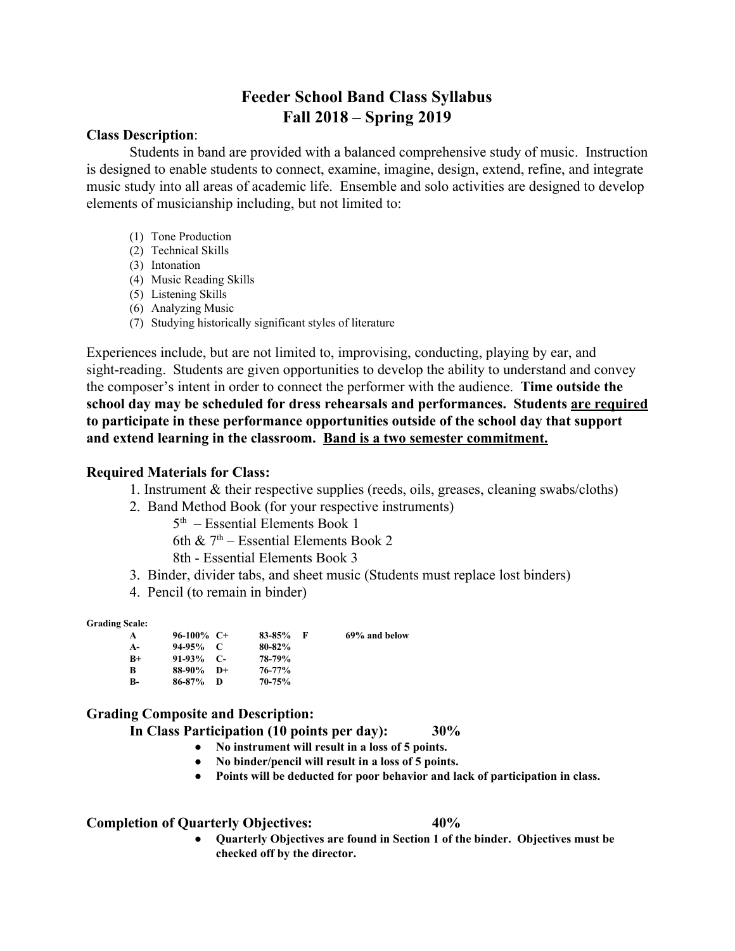# **Feeder School Band Class Syllabus Fall 2018 – Spring 2019**

#### **Class Description**:

Students in band are provided with a balanced comprehensive study of music. Instruction is designed to enable students to connect, examine, imagine, design, extend, refine, and integrate music study into all areas of academic life. Ensemble and solo activities are designed to develop elements of musicianship including, but not limited to:

- (1) Tone Production
- (2) Technical Skills
- (3) Intonation
- (4) Music Reading Skills
- (5) Listening Skills
- (6) Analyzing Music
- (7) Studying historically significant styles of literature

Experiences include, but are not limited to, improvising, conducting, playing by ear, and sight-reading. Students are given opportunities to develop the ability to understand and convey the composer's intent in order to connect the performer with the audience. **Time outside the school day may be scheduled for dress rehearsals and performances. Students are required to participate in these performance opportunities outside of the school day that support and extend learning in the classroom. Band is a two semester commitment.**

### **Required Materials for Class:**

- 1. Instrument & their respective supplies (reeds, oils, greases, cleaning swabs/cloths)
- 2. Band Method Book (for your respective instruments)

5 th – Essential Elements Book 1

6th  $\&$  7<sup>th</sup> – Essential Elements Book 2

8th - Essential Elements Book 3

- 3. Binder, divider tabs, and sheet music (Students must replace lost binders)
- 4. Pencil (to remain in binder)

**Grading Scale:**

| A         | $96-100\%$ C+ |      | $83 - 85%$ | - 15 | 69% and below |
|-----------|---------------|------|------------|------|---------------|
| $A-$      | $94-95\%$ C   |      | $80 - 82%$ |      |               |
| $B+$      | $91-93\%$ C-  |      | 78-79%     |      |               |
| B         | 88-90%        | $D+$ | $76 - 77%$ |      |               |
| <b>B-</b> | 86-87%        | D    | $70 - 75%$ |      |               |

## **Grading Composite and Description:**

**In Class Participation (10 points per day): 30%**

- **● No instrument will result in a loss of 5 points.**
- **● No binder/pencil will result in a loss of 5 points.**
- **● Points will be deducted for poor behavior and lack of participation in class.**

### **Completion of Quarterly Objectives: 40%**

**● Quarterly Objectives are found in Section 1 of the binder. Objectives must be checked off by the director.**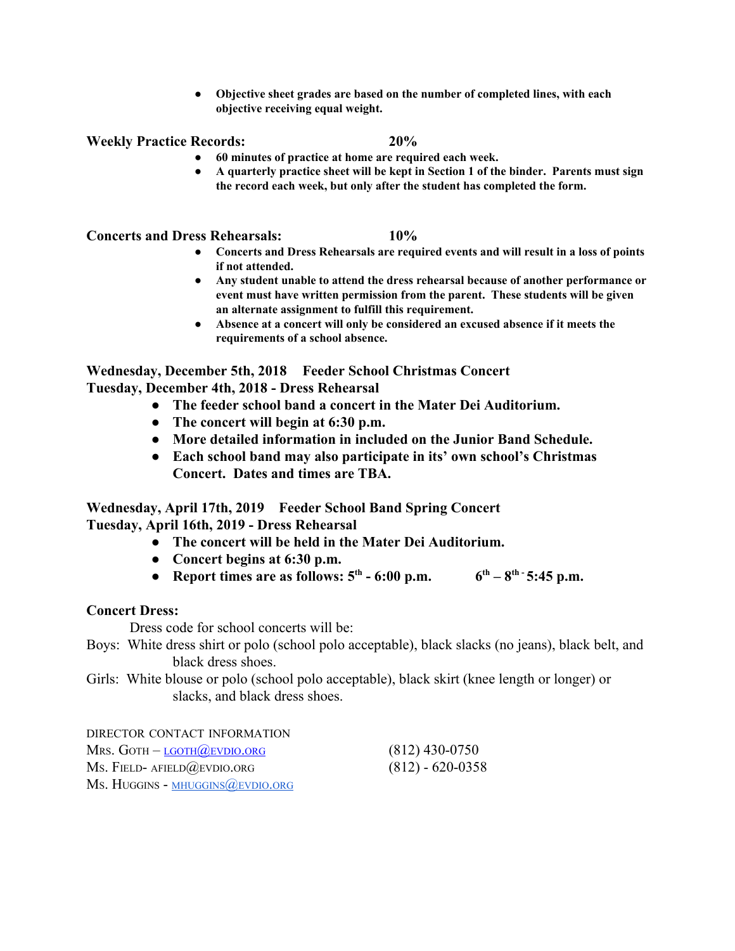**● Objective sheet grades are based on the number of completed lines, with each objective receiving equal weight.**

**Weekly Practice Records: 20%**

- **● 60 minutes of practice at home are required each week.**
- **● A quarterly practice sheet will be kept in Section 1 of the binder. Parents must sign the record each week, but only after the student has completed the form.**

**Concerts and Dress Rehearsals: 10%**

- **● Concerts and Dress Rehearsals are required events and will result in a loss of points if not attended.**
- **● Any student unable to attend the dress rehearsal because of another performance or event must have written permission from the parent. These students will be given an alternate assignment to fulfill this requirement.**
- **● Absence at a concert will only be considered an excused absence if it meets the requirements of a school absence.**

**Wednesday, December 5th, 2018 Feeder School Christmas Concert Tuesday, December 4th, 2018 - Dress Rehearsal**

- **● The feeder school band a concert in the Mater Dei Auditorium.**
- **● The concert will begin at 6:30 p.m.**
- **● More detailed information in included on the Junior Band Schedule.**
- **● Each school band may also participate in its' own school's Christmas Concert. Dates and times are TBA.**

**Wednesday, April 17th, 2019 Feeder School Band Spring Concert Tuesday, April 16th, 2019 - Dress Rehearsal**

- **● The concert will be held in the Mater Dei Auditorium.**
- **● Concert begins at 6:30 p.m.**
- **Report times are as follows:**  $5^{th}$  **6:00 p.m.**  $6^{th}$  $8^{th}$  $5:45$  **p.m.**

### **Concert Dress:**

Dress code for school concerts will be:

Boys: White dress shirt or polo (school polo acceptable), black slacks (no jeans), black belt, and black dress shoes.

Girls: White blouse or polo (school polo acceptable), black skirt (knee length or longer) or slacks, and black dress shoes.

DIRECTOR CONTACT INFORMATION Mrs. GOTH –  $L$ GOTH $@$ EVDIO.ORG (812) 430-0750 MS. FIELD- AFIELD@EVDIO.ORG (812) - 620-0358 Ms. HUGGINS - [MHUGGINS](mailto:mhuggins@evdio.org)@EVDIO.ORG